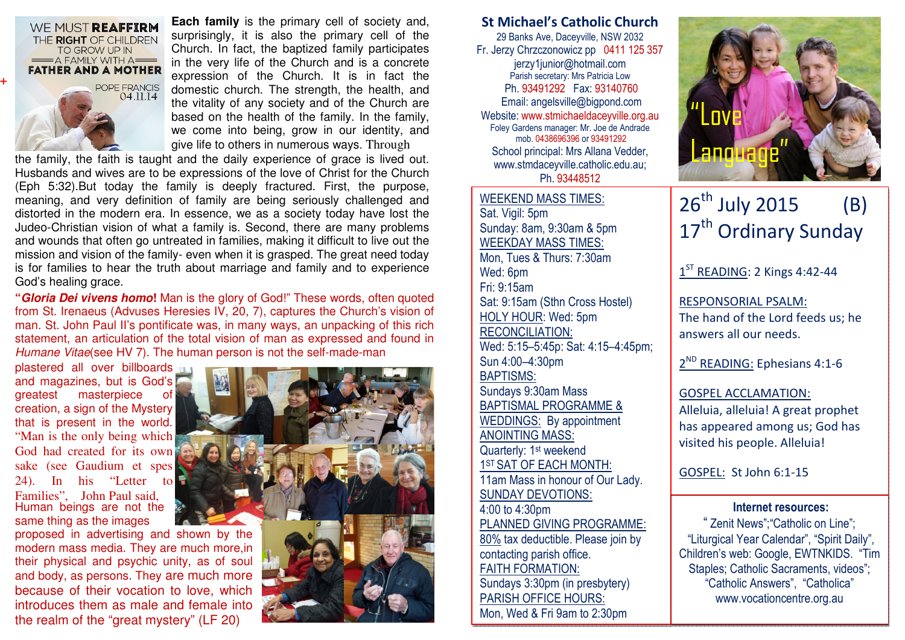

WE MUST REAFFIRM THE RIGHT OF CHILDREN TO GROW UP IN

**+**

**Each family** is the primary cell of society and, surprisingly, it is also the primary cell of the Church. In fact, the baptized family participates in the very life of the Church and is a concrete expression of the Church. It is in fact the domestic church. The strength, the health, and the vitality of any society and of the Church are based on the health of the family. In the family, we come into being, grow in our identity, and give life to others in numerous ways. Through

the family, the faith is taught and the daily experience of grace is lived out. Husbands and wives are to be expressions of the love of Christ for the Church (Eph 5:32).But today the family is deeply fractured. First, the purpose, meaning, and very definition of family are being seriously challenged and distorted in the modern era. In essence, we as a society today have lost the Judeo-Christian vision of what a family is. Second, there are many problems and wounds that often go untreated in families, making it difficult to live out the mission and vision of the family- even when it is grasped. The great need today is for families to hear the truth about marriage and family and to experience God's healing grace.

**"Gloria Dei vivens homo!** Man is the glory of God!" These words, often quoted from St. Irenaeus (Advuses Heresies IV, 20, 7), captures the Church's vision of man. St. John Paul II's pontificate was, in many ways, an unpacking of this rich statement, an articulation of the total vision of man as expressed and found in Humane Vitae(see HV 7). The human person is not the self-made-man

plastered all over billboards and magazines, but is God's greatest masterpiece of creation, a sign of the Mystery that is present in the world."Man is the only being which God had created for its own sake (see Gaudium et spes 24). In his "Letter to Families", John Paul said, Human beings are not the same thing as the images

 proposed in advertising and shown by the modern mass media. They are much more,in their physical and psychic unity, as of soul and body, as persons. They are much more because of their vocation to love, which introduces them as male and female into the realm of the "great mystery" (LF 20)



## St Michael's Catholic Church

29 Banks Ave, Daceyville, NSW 2032 Fr. Jerzy Chrzczonowicz pp 0411 125 357 jerzy1junior@hotmail.com Parish secretary: Mrs Patricia Low Ph. 93491292 Fax: 93140760 Email: angelsville@bigpond.com Website: www.stmichaeldaceyville.org.au Foley Gardens manager: Mr. Joe de Andrade mob. 0438696396 or 93491292 School principal: Mrs Allana Vedder, www.stmdaceyville.catholic.edu.au; Ph. 93448512

WEEKEND MASS TIMES:Sat. Vigil: 5pm Sunday: 8am, 9:30am & 5pm WEEKDAY MASS TIMES: Mon, Tues & Thurs: 7:30am Wed: 6pm Fri: 9:15am Sat: 9:15am (Sthn Cross Hostel) HOLY HOUR: Wed: 5pm RECONCILIATION: Wed: 5:15–5:45p: Sat: 4:15–4:45pm; Sun 4:00–4:30pm BAPTISMS: Sundays 9:30am Mass BAPTISMAL PROGRAMME & WEDDINGS: By appointment ANOINTING MASS: Quarterly: 1<sup>st</sup> weekend 1<sup>ST</sup> SAT OF EACH MONTH: 11am Mass in honour of Our Lady. SUNDAY DEVOTIONS: 4:00 to 4:30pm PLANNED GIVING PROGRAMME: 80% tax deductible. Please join by contacting parish office. FAITH FORMATION: Sundays 3:30pm (in presbytery) PARISH OFFICE HOURS: Mon, Wed & Fri 9am to 2:30pm



# $26^{th}$  July 2015 (B) 17<sup>th</sup> Ordinary Sunday

 $1<sup>ST</sup>$  READING: 2 Kings 4:42-44

RESPONSORIAL PSALM: The hand of the Lord feeds us; he answers all our needs.

2<sup>ND</sup> READING: Ephesians 4:1-6

### GOSPEL ACCLAMATION:

Alleluia, alleluia! A great prophet has appeared among us; God has visited his people. Alleluia!

GOSPEL: St John 6:1-15

#### Internet resources:

 " Zenit News";"Catholic on Line"; "Liturgical Year Calendar", "Spirit Daily", Children's web: Google, EWTNKIDS. "Tim Staples; Catholic Sacraments, videos"; "Catholic Answers", "Catholica" www.vocationcentre.org.au